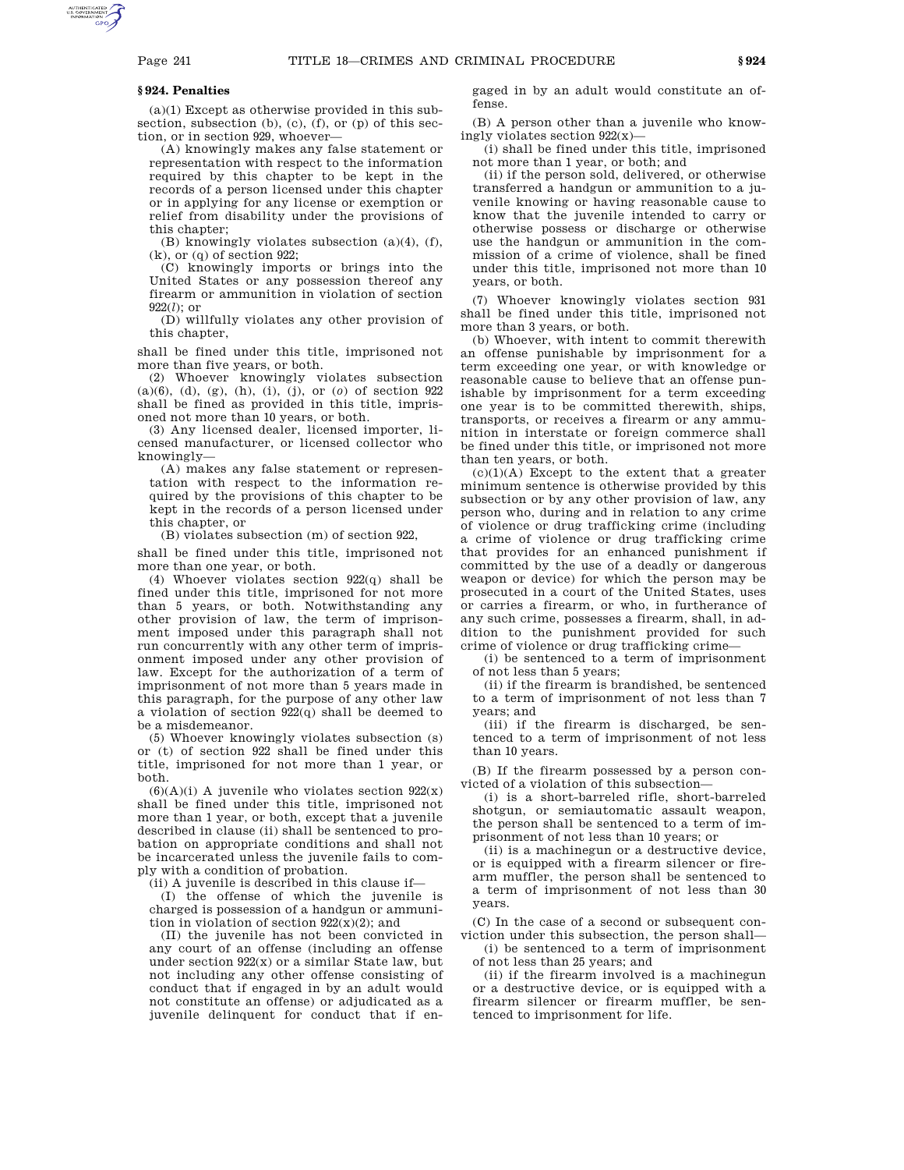# **§ 924. Penalties**

(a)(1) Except as otherwise provided in this subsection, subsection  $(b)$ ,  $(c)$ ,  $(f)$ ,  $o\mathbf{r}$   $(p)$  of this section, or in section 929, whoever—

(A) knowingly makes any false statement or representation with respect to the information required by this chapter to be kept in the records of a person licensed under this chapter or in applying for any license or exemption or relief from disability under the provisions of this chapter;

(B) knowingly violates subsection (a)(4), (f),  $(k)$ , or  $(a)$  of section 922;

(C) knowingly imports or brings into the United States or any possession thereof any firearm or ammunition in violation of section 922(*l*); or

(D) willfully violates any other provision of this chapter,

shall be fined under this title, imprisoned not more than five years, or both.

(2) Whoever knowingly violates subsection (a)(6), (d), (g), (h), (i), (j), or (*o*) of section 922 shall be fined as provided in this title, imprisoned not more than 10 years, or both.

(3) Any licensed dealer, licensed importer, licensed manufacturer, or licensed collector who knowingly—

(A) makes any false statement or representation with respect to the information required by the provisions of this chapter to be kept in the records of a person licensed under this chapter, or

(B) violates subsection (m) of section 922,

shall be fined under this title, imprisoned not more than one year, or both.

(4) Whoever violates section 922(q) shall be fined under this title, imprisoned for not more than 5 years, or both. Notwithstanding any other provision of law, the term of imprisonment imposed under this paragraph shall not run concurrently with any other term of imprisonment imposed under any other provision of law. Except for the authorization of a term of imprisonment of not more than 5 years made in this paragraph, for the purpose of any other law a violation of section 922(q) shall be deemed to be a misdemeanor.

(5) Whoever knowingly violates subsection (s) or (t) of section 922 shall be fined under this title, imprisoned for not more than 1 year, or both.

 $(6)(A)(i)$  A juvenile who violates section  $922(x)$ shall be fined under this title, imprisoned not more than 1 year, or both, except that a juvenile described in clause (ii) shall be sentenced to probation on appropriate conditions and shall not be incarcerated unless the juvenile fails to comply with a condition of probation.

(ii) A juvenile is described in this clause if—

(I) the offense of which the juvenile is charged is possession of a handgun or ammunition in violation of section  $922(x)(2)$ ; and

(II) the juvenile has not been convicted in any court of an offense (including an offense under section 922(x) or a similar State law, but not including any other offense consisting of conduct that if engaged in by an adult would not constitute an offense) or adjudicated as a juvenile delinquent for conduct that if engaged in by an adult would constitute an offense.

(B) A person other than a juvenile who knowingly violates section 922(x)—

(i) shall be fined under this title, imprisoned not more than 1 year, or both; and

(ii) if the person sold, delivered, or otherwise transferred a handgun or ammunition to a juvenile knowing or having reasonable cause to know that the juvenile intended to carry or otherwise possess or discharge or otherwise use the handgun or ammunition in the commission of a crime of violence, shall be fined under this title, imprisoned not more than 10 years, or both.

(7) Whoever knowingly violates section 931 shall be fined under this title, imprisoned not more than 3 years, or both.

(b) Whoever, with intent to commit therewith an offense punishable by imprisonment for a term exceeding one year, or with knowledge or reasonable cause to believe that an offense punishable by imprisonment for a term exceeding one year is to be committed therewith, ships, transports, or receives a firearm or any ammunition in interstate or foreign commerce shall be fined under this title, or imprisoned not more than ten years, or both.

 $(c)(1)(A)$  Except to the extent that a greater minimum sentence is otherwise provided by this subsection or by any other provision of law, any person who, during and in relation to any crime of violence or drug trafficking crime (including a crime of violence or drug trafficking crime that provides for an enhanced punishment if committed by the use of a deadly or dangerous weapon or device) for which the person may be prosecuted in a court of the United States, uses or carries a firearm, or who, in furtherance of any such crime, possesses a firearm, shall, in addition to the punishment provided for such crime of violence or drug trafficking crime—

(i) be sentenced to a term of imprisonment of not less than 5 years;

(ii) if the firearm is brandished, be sentenced to a term of imprisonment of not less than 7 years; and

(iii) if the firearm is discharged, be sentenced to a term of imprisonment of not less than 10 years.

(B) If the firearm possessed by a person convicted of a violation of this subsection—

(i) is a short-barreled rifle, short-barreled shotgun, or semiautomatic assault weapon, the person shall be sentenced to a term of imprisonment of not less than 10 years; or

(ii) is a machinegun or a destructive device, or is equipped with a firearm silencer or firearm muffler, the person shall be sentenced to a term of imprisonment of not less than 30 years.

(C) In the case of a second or subsequent conviction under this subsection, the person shall—

(i) be sentenced to a term of imprisonment of not less than 25 years; and

(ii) if the firearm involved is a machinegun or a destructive device, or is equipped with a firearm silencer or firearm muffler, be sentenced to imprisonment for life.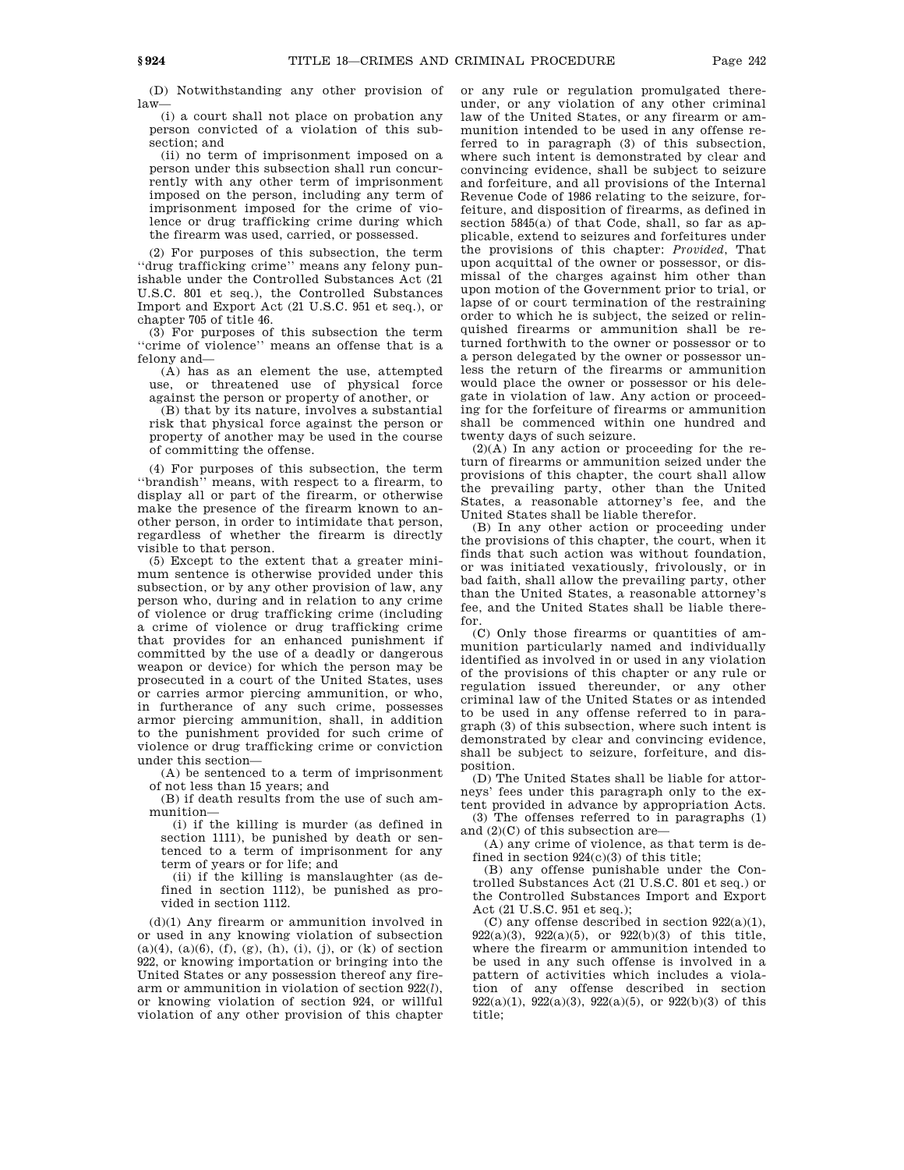(D) Notwithstanding any other provision of  $law$ —

(i) a court shall not place on probation any person convicted of a violation of this subsection; and

(ii) no term of imprisonment imposed on a person under this subsection shall run concurrently with any other term of imprisonment imposed on the person, including any term of imprisonment imposed for the crime of violence or drug trafficking crime during which the firearm was used, carried, or possessed.

(2) For purposes of this subsection, the term ''drug trafficking crime'' means any felony punishable under the Controlled Substances Act (21 U.S.C. 801 et seq.), the Controlled Substances Import and Export Act (21 U.S.C. 951 et seq.), or chapter 705 of title 46.

(3) For purposes of this subsection the term ''crime of violence'' means an offense that is a felony and—

(A) has as an element the use, attempted use, or threatened use of physical force against the person or property of another, or

(B) that by its nature, involves a substantial risk that physical force against the person or property of another may be used in the course of committing the offense.

(4) For purposes of this subsection, the term ''brandish'' means, with respect to a firearm, to display all or part of the firearm, or otherwise make the presence of the firearm known to another person, in order to intimidate that person, regardless of whether the firearm is directly visible to that person.

(5) Except to the extent that a greater minimum sentence is otherwise provided under this subsection, or by any other provision of law, any person who, during and in relation to any crime of violence or drug trafficking crime (including a crime of violence or drug trafficking crime that provides for an enhanced punishment if committed by the use of a deadly or dangerous weapon or device) for which the person may be prosecuted in a court of the United States, uses or carries armor piercing ammunition, or who, in furtherance of any such crime, possesses armor piercing ammunition, shall, in addition to the punishment provided for such crime of violence or drug trafficking crime or conviction under this section—

(A) be sentenced to a term of imprisonment of not less than 15 years; and

(B) if death results from the use of such ammunition—

(i) if the killing is murder (as defined in section 1111), be punished by death or sentenced to a term of imprisonment for any term of years or for life; and

(ii) if the killing is manslaughter (as defined in section 1112), be punished as provided in section 1112.

(d)(1) Any firearm or ammunition involved in or used in any knowing violation of subsection  $(a)(4)$ ,  $(a)(6)$ ,  $(f)$ ,  $(g)$ ,  $(h)$ ,  $(i)$ ,  $(j)$ ,  $or (k)$  of section 922, or knowing importation or bringing into the United States or any possession thereof any firearm or ammunition in violation of section 922(*l*), or knowing violation of section 924, or willful violation of any other provision of this chapter or any rule or regulation promulgated thereunder, or any violation of any other criminal law of the United States, or any firearm or ammunition intended to be used in any offense referred to in paragraph (3) of this subsection, where such intent is demonstrated by clear and convincing evidence, shall be subject to seizure and forfeiture, and all provisions of the Internal Revenue Code of 1986 relating to the seizure, forfeiture, and disposition of firearms, as defined in section 5845(a) of that Code, shall, so far as applicable, extend to seizures and forfeitures under the provisions of this chapter: *Provided*, That upon acquittal of the owner or possessor, or dismissal of the charges against him other than upon motion of the Government prior to trial, or lapse of or court termination of the restraining order to which he is subject, the seized or relinquished firearms or ammunition shall be returned forthwith to the owner or possessor or to a person delegated by the owner or possessor unless the return of the firearms or ammunition would place the owner or possessor or his delegate in violation of law. Any action or proceeding for the forfeiture of firearms or ammunition shall be commenced within one hundred and twenty days of such seizure.

 $(2)(A)$  In any action or proceeding for the return of firearms or ammunition seized under the provisions of this chapter, the court shall allow the prevailing party, other than the United States, a reasonable attorney's fee, and the United States shall be liable therefor.

(B) In any other action or proceeding under the provisions of this chapter, the court, when it finds that such action was without foundation, or was initiated vexatiously, frivolously, or in bad faith, shall allow the prevailing party, other than the United States, a reasonable attorney's fee, and the United States shall be liable therefor.

(C) Only those firearms or quantities of ammunition particularly named and individually identified as involved in or used in any violation of the provisions of this chapter or any rule or regulation issued thereunder, or any other criminal law of the United States or as intended to be used in any offense referred to in paragraph (3) of this subsection, where such intent is demonstrated by clear and convincing evidence, shall be subject to seizure, forfeiture, and disposition.

(D) The United States shall be liable for attorneys' fees under this paragraph only to the extent provided in advance by appropriation Acts.

(3) The offenses referred to in paragraphs (1) and (2)(C) of this subsection are—

(A) any crime of violence, as that term is defined in section 924(c)(3) of this title;

(B) any offense punishable under the Controlled Substances Act (21 U.S.C. 801 et seq.) or the Controlled Substances Import and Export Act (21 U.S.C. 951 et seq.);

(C) any offense described in section 922(a)(1), 922(a)(3), 922(a)(5), or 922(b)(3) of this title, where the firearm or ammunition intended to be used in any such offense is involved in a pattern of activities which includes a violation of any offense described in section 922(a)(1), 922(a)(3), 922(a)(5), or 922(b)(3) of this title;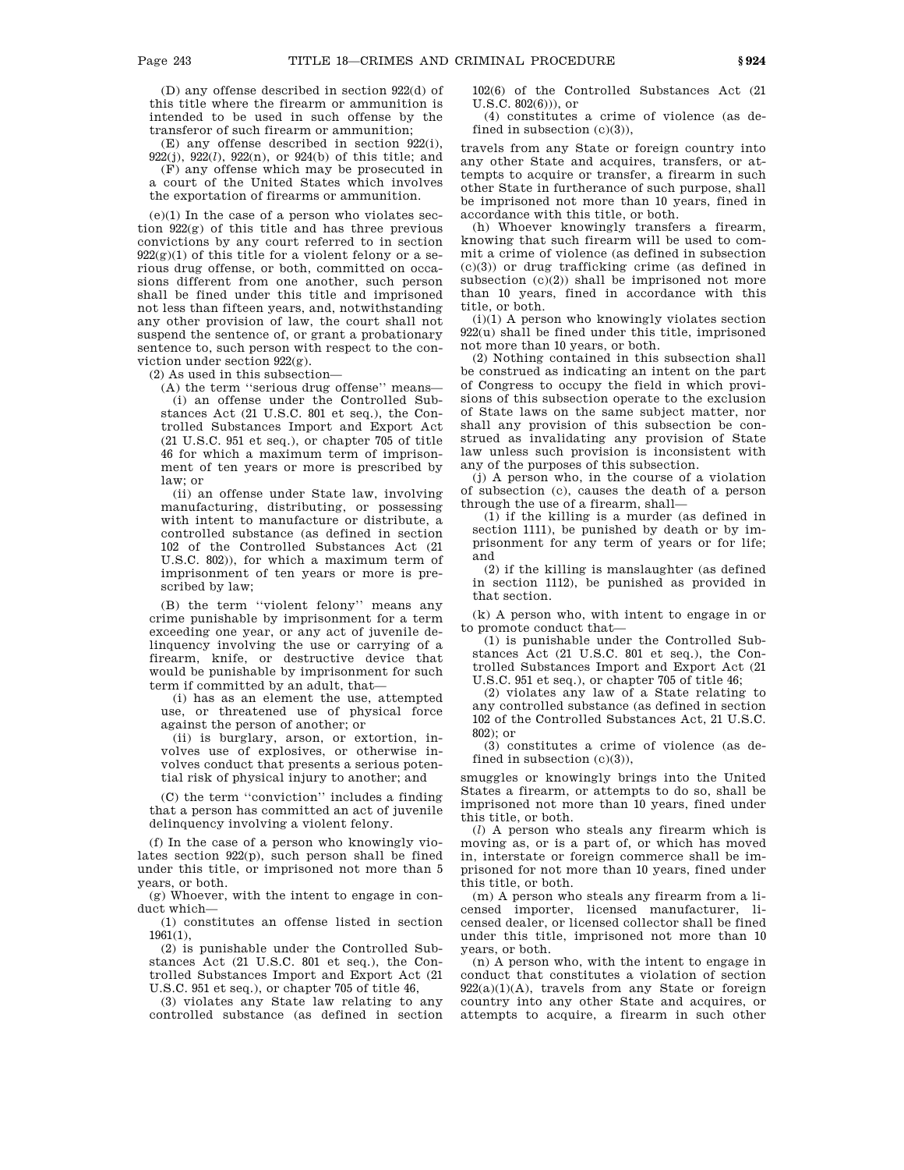(D) any offense described in section 922(d) of this title where the firearm or ammunition is intended to be used in such offense by the transferor of such firearm or ammunition;

(E) any offense described in section 922(i), 922(j), 922(*l*), 922(n), or 924(b) of this title; and

(F) any offense which may be prosecuted in a court of the United States which involves the exportation of firearms or ammunition.

 $(e)(1)$  In the case of a person who violates section 922(g) of this title and has three previous convictions by any court referred to in section  $922(g)(1)$  of this title for a violent felony or a serious drug offense, or both, committed on occasions different from one another, such person shall be fined under this title and imprisoned not less than fifteen years, and, notwithstanding any other provision of law, the court shall not suspend the sentence of, or grant a probationary sentence to, such person with respect to the conviction under section 922(g).

(2) As used in this subsection—

(A) the term ''serious drug offense'' means— (i) an offense under the Controlled Substances Act (21 U.S.C. 801 et seq.), the Controlled Substances Import and Export Act (21 U.S.C. 951 et seq.), or chapter 705 of title 46 for which a maximum term of imprisonment of ten years or more is prescribed by law; or

(ii) an offense under State law, involving manufacturing, distributing, or possessing with intent to manufacture or distribute, a controlled substance (as defined in section 102 of the Controlled Substances Act (21 U.S.C. 802)), for which a maximum term of imprisonment of ten years or more is prescribed by law;

(B) the term ''violent felony'' means any crime punishable by imprisonment for a term exceeding one year, or any act of juvenile delinquency involving the use or carrying of a firearm, knife, or destructive device that would be punishable by imprisonment for such term if committed by an adult, that—

(i) has as an element the use, attempted use, or threatened use of physical force against the person of another; or

(ii) is burglary, arson, or extortion, involves use of explosives, or otherwise involves conduct that presents a serious potential risk of physical injury to another; and

(C) the term ''conviction'' includes a finding that a person has committed an act of juvenile delinquency involving a violent felony.

(f) In the case of a person who knowingly violates section 922(p), such person shall be fined under this title, or imprisoned not more than 5 years, or both.

(g) Whoever, with the intent to engage in conduct which—

(1) constitutes an offense listed in section 1961(1),

(2) is punishable under the Controlled Substances Act (21 U.S.C. 801 et seq.), the Controlled Substances Import and Export Act (21 U.S.C. 951 et seq.), or chapter 705 of title 46,

(3) violates any State law relating to any controlled substance (as defined in section 102(6) of the Controlled Substances Act (21 U.S.C. 802(6))), or

(4) constitutes a crime of violence (as defined in subsection (c)(3)),

travels from any State or foreign country into any other State and acquires, transfers, or attempts to acquire or transfer, a firearm in such other State in furtherance of such purpose, shall be imprisoned not more than 10 years, fined in accordance with this title, or both.

(h) Whoever knowingly transfers a firearm, knowing that such firearm will be used to commit a crime of violence (as defined in subsection (c)(3)) or drug trafficking crime (as defined in subsection  $(c)(2)$  shall be imprisoned not more than 10 years, fined in accordance with this title, or both.

(i)(1) A person who knowingly violates section 922(u) shall be fined under this title, imprisoned not more than 10 years, or both.

(2) Nothing contained in this subsection shall be construed as indicating an intent on the part of Congress to occupy the field in which provisions of this subsection operate to the exclusion of State laws on the same subject matter, nor shall any provision of this subsection be construed as invalidating any provision of State law unless such provision is inconsistent with any of the purposes of this subsection.

(j) A person who, in the course of a violation of subsection (c), causes the death of a person through the use of a firearm, shall—

(1) if the killing is a murder (as defined in section 1111), be punished by death or by imprisonment for any term of years or for life; and

(2) if the killing is manslaughter (as defined in section 1112), be punished as provided in that section.

(k) A person who, with intent to engage in or to promote conduct that—

(1) is punishable under the Controlled Substances Act (21 U.S.C. 801 et seq.), the Controlled Substances Import and Export Act (21 U.S.C. 951 et seq.), or chapter 705 of title 46;

(2) violates any law of a State relating to any controlled substance (as defined in section 102 of the Controlled Substances Act, 21 U.S.C. 802); or

(3) constitutes a crime of violence (as defined in subsection  $(c)(3)$ ),

smuggles or knowingly brings into the United States a firearm, or attempts to do so, shall be imprisoned not more than 10 years, fined under this title, or both.

(*l*) A person who steals any firearm which is moving as, or is a part of, or which has moved in, interstate or foreign commerce shall be imprisoned for not more than 10 years, fined under this title, or both.

(m) A person who steals any firearm from a licensed importer, licensed manufacturer, licensed dealer, or licensed collector shall be fined under this title, imprisoned not more than 10 years, or both.

(n) A person who, with the intent to engage in conduct that constitutes a violation of section  $922(a)(1)(A)$ , travels from any State or foreign country into any other State and acquires, or attempts to acquire, a firearm in such other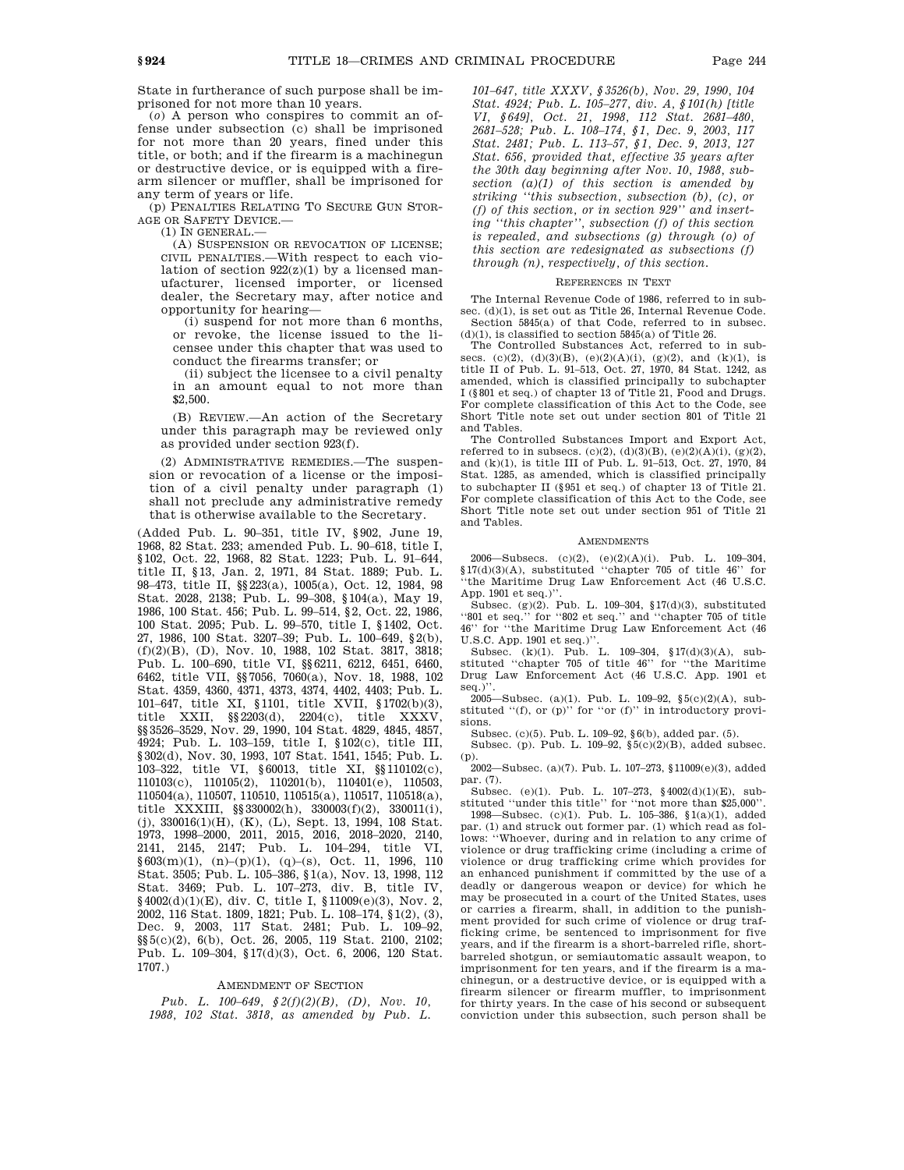State in furtherance of such purpose shall be imprisoned for not more than 10 years.

(*o*) A person who conspires to commit an offense under subsection (c) shall be imprisoned for not more than 20 years, fined under this title, or both; and if the firearm is a machinegun or destructive device, or is equipped with a firearm silencer or muffler, shall be imprisoned for any term of years or life.

(p) PENALTIES RELATING TO SECURE GUN STOR-AGE OR SAFETY DEVICE.—

(1) IN GENERAL.—

(A) SUSPENSION OR REVOCATION OF LICENSE; CIVIL PENALTIES.—With respect to each violation of section  $922(z)(1)$  by a licensed manufacturer, licensed importer, or licensed dealer, the Secretary may, after notice and opportunity for hearing—

(i) suspend for not more than 6 months, or revoke, the license issued to the licensee under this chapter that was used to conduct the firearms transfer; or

(ii) subject the licensee to a civil penalty in an amount equal to not more than \$2,500.

(B) REVIEW.—An action of the Secretary under this paragraph may be reviewed only as provided under section 923(f).

(2) ADMINISTRATIVE REMEDIES.—The suspension or revocation of a license or the imposition of a civil penalty under paragraph (1) shall not preclude any administrative remedy that is otherwise available to the Secretary.

(Added Pub. L. 90–351, title IV, §902, June 19, 1968, 82 Stat. 233; amended Pub. L. 90–618, title I, §102, Oct. 22, 1968, 82 Stat. 1223; Pub. L. 91–644, title II, §13, Jan. 2, 1971, 84 Stat. 1889; Pub. L. 98–473, title II, §§223(a), 1005(a), Oct. 12, 1984, 98 Stat. 2028, 2138; Pub. L. 99–308, §104(a), May 19, 1986, 100 Stat. 456; Pub. L. 99–514, §2, Oct. 22, 1986, 100 Stat. 2095; Pub. L. 99–570, title I, §1402, Oct. 27, 1986, 100 Stat. 3207–39; Pub. L. 100–649, §2(b), (f)(2)(B), (D), Nov. 10, 1988, 102 Stat. 3817, 3818; Pub. L. 100–690, title VI, §§6211, 6212, 6451, 6460, 6462, title VII, §§7056, 7060(a), Nov. 18, 1988, 102 Stat. 4359, 4360, 4371, 4373, 4374, 4402, 4403; Pub. L. 101–647, title XI, §1101, title XVII, §1702(b)(3), title XXII, §§2203(d), 2204(c), title XXXV, §§3526–3529, Nov. 29, 1990, 104 Stat. 4829, 4845, 4857, 4924; Pub. L. 103–159, title I, §102(c), title III, §302(d), Nov. 30, 1993, 107 Stat. 1541, 1545; Pub. L. 103–322, title VI, §60013, title XI, §§110102(c), 110103(c), 110105(2), 110201(b), 110401(e), 110503, 110504(a), 110507, 110510, 110515(a), 110517, 110518(a), title XXXIII, §§330002(h), 330003(f)(2), 330011(i), (j), 330016(1)(H), (K), (L), Sept. 13, 1994, 108 Stat. 1973, 1998–2000, 2011, 2015, 2016, 2018–2020, 2140, 2141, 2145, 2147; Pub. L. 104–294, title VI, §603(m)(1), (n)–(p)(1), (q)–(s), Oct. 11, 1996, 110 Stat. 3505; Pub. L. 105–386, §1(a), Nov. 13, 1998, 112 Stat. 3469; Pub. L. 107–273, div. B, title IV, §4002(d)(1)(E), div. C, title I, §11009(e)(3), Nov. 2, 2002, 116 Stat. 1809, 1821; Pub. L. 108–174, §1(2), (3), Dec. 9, 2003, 117 Stat. 2481; Pub. L. 109–92, §§5(c)(2), 6(b), Oct. 26, 2005, 119 Stat. 2100, 2102; Pub. L. 109–304, §17(d)(3), Oct. 6, 2006, 120 Stat. 1707.)

### AMENDMENT OF SECTION

*Pub. L. 100–649, §2(f)(2)(B), (D), Nov. 10, 1988, 102 Stat. 3818, as amended by Pub. L.*

*101–647, title XXXV, §3526(b), Nov. 29, 1990, 104 Stat. 4924; Pub. L. 105–277, div. A, §101(h) [title VI, §649], Oct. 21, 1998, 112 Stat. 2681–480, 2681–528; Pub. L. 108–174, §1, Dec. 9, 2003, 117 Stat. 2481; Pub. L. 113–57, §1, Dec. 9, 2013, 127 Stat. 656, provided that, effective 35 years after the 30th day beginning after Nov. 10, 1988, subsection (a)(1) of this section is amended by striking ''this subsection, subsection (b), (c), or (f) of this section, or in section 929'' and inserting ''this chapter'', subsection (f) of this section is repealed, and subsections (g) through (o) of this section are redesignated as subsections (f) through (n), respectively, of this section.*

# REFERENCES IN TEXT

The Internal Revenue Code of 1986, referred to in subsec. (d)(1), is set out as Title 26, Internal Revenue Code. Section 5845(a) of that Code, referred to in subsec.

 $(d)(1)$ , is classified to section 5845(a) of Title 26. The Controlled Substances Act, referred to in subsecs. (c)(2), (d)(3)(B), (e)(2)(A)(i), (g)(2), and (k)(1), is title II of Pub. L. 91–513, Oct. 27, 1970, 84 Stat. 1242, as amended, which is classified principally to subchapter I (§801 et seq.) of chapter 13 of Title 21, Food and Drugs. For complete classification of this Act to the Code, see Short Title note set out under section 801 of Title 21 and Tables.

The Controlled Substances Import and Export Act, referred to in subsecs. (c)(2), (d)(3)(B), (e)(2)(A)(i), (g)(2), and (k)(1), is title III of Pub. L. 91–513, Oct. 27, 1970, 84 Stat. 1285, as amended, which is classified principally to subchapter II (§951 et seq.) of chapter 13 of Title 21. For complete classification of this Act to the Code, see Short Title note set out under section 951 of Title 21 and Tables.

#### **AMENDMENTS**

2006—Subsecs. (c)(2), (e)(2)(A)(i). Pub. L. 109–304,  $$17(d)(3)(A)$ , substituted "chapter 705 of title 46" for ''the Maritime Drug Law Enforcement Act (46 U.S.C. App. 1901 et seq.)''.

Subsec. (g)(2). Pub. L. 109-304,  $17(d)(3)$ , substituted ''801 et seq.'' for ''802 et seq.'' and ''chapter 705 of title 46'' for ''the Maritime Drug Law Enforcement Act (46 U.S.C. App. 1901 et seq.)''.

Subsec. (k)(1). Pub. L. 109–304, §17(d)(3)(A), substituted ''chapter 705 of title 46'' for ''the Maritime Drug Law Enforcement Act (46 U.S.C. App. 1901 et seq.) $'$ 

 $2005$ —Subsec. (a)(1). Pub. L. 109–92,  $\S5(c)(2)(A)$ , substituted "(f), or (p)" for "or (f)" in introductory provisions.

Subsec. (c)(5). Pub. L. 109–92, §6(b), added par. (5).

Subsec. (p). Pub. L. 109-92,  $\S5(c)(2)(B)$ , added subsec. (p).

2002—Subsec. (a)(7). Pub. L. 107–273, §11009(e)(3), added par. (7).

Subsec. (e)(1). Pub. L. 107–273, §4002(d)(1)(E), substituted ''under this title'' for ''not more than \$25,000''.

1998—Subsec. (c)(1). Pub. L. 105–386, §1(a)(1), added par. (1) and struck out former par. (1) which read as follows: ''Whoever, during and in relation to any crime of violence or drug trafficking crime (including a crime of violence or drug trafficking crime which provides for an enhanced punishment if committed by the use of a deadly or dangerous weapon or device) for which he may be prosecuted in a court of the United States, uses or carries a firearm, shall, in addition to the punishment provided for such crime of violence or drug trafficking crime, be sentenced to imprisonment for five years, and if the firearm is a short-barreled rifle, shortbarreled shotgun, or semiautomatic assault weapon, to imprisonment for ten years, and if the firearm is a machinegun, or a destructive device, or is equipped with a firearm silencer or firearm muffler, to imprisonment for thirty years. In the case of his second or subsequent conviction under this subsection, such person shall be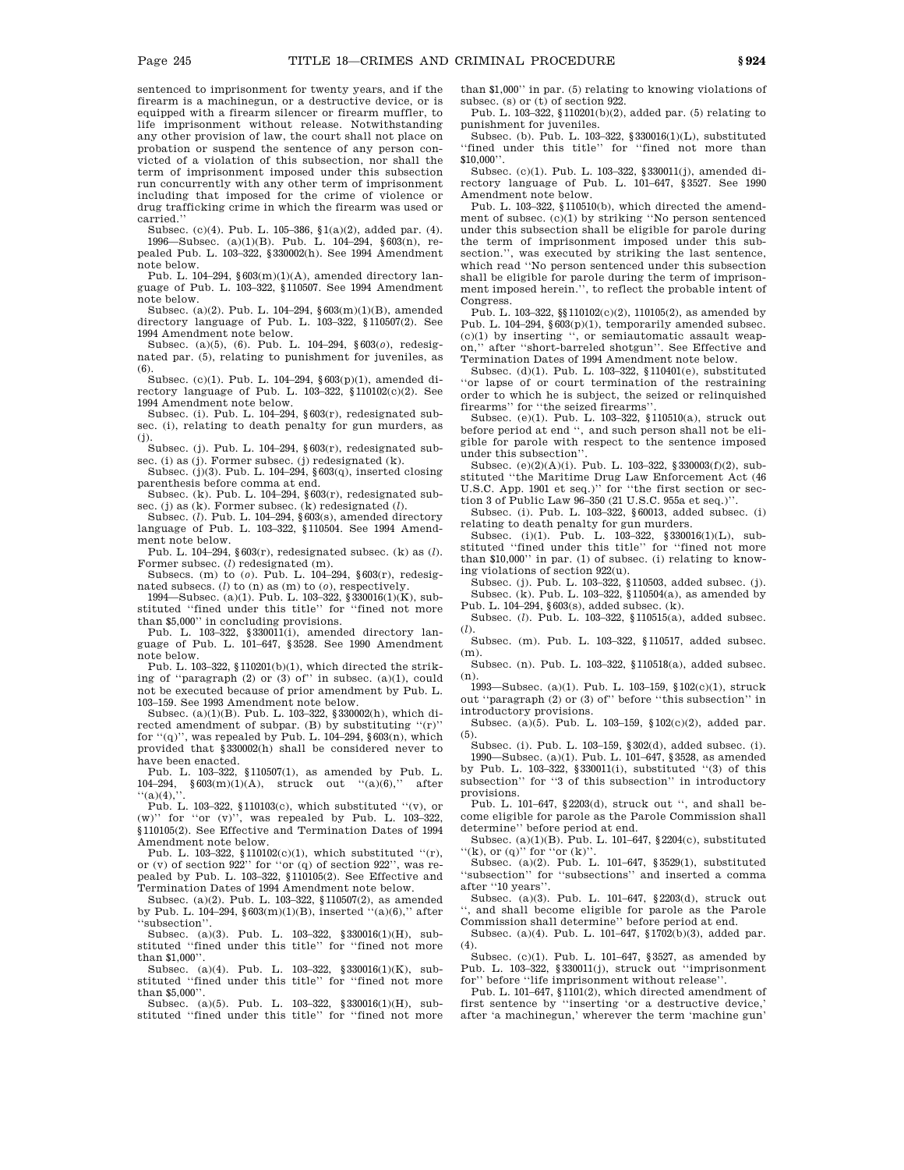sentenced to imprisonment for twenty years, and if the firearm is a machinegun, or a destructive device, or is equipped with a firearm silencer or firearm muffler, to life imprisonment without release. Notwithstanding any other provision of law, the court shall not place on probation or suspend the sentence of any person convicted of a violation of this subsection, nor shall the term of imprisonment imposed under this subsection run concurrently with any other term of imprisonment including that imposed for the crime of violence or drug trafficking crime in which the firearm was used or carried.''

Subsec. (c)(4). Pub. L. 105–386, §1(a)(2), added par. (4). 1996—Subsec. (a)(1)(B). Pub. L. 104–294, §603(n), re-

pealed Pub. L. 103–322, §330002(h). See 1994 Amendment note below.

Pub. L. 104–294,  $\delta$ 603(m)(1)(A), amended directory language of Pub. L. 103–322, §110507. See 1994 Amendment note below.

Subsec. (a)(2). Pub. L. 104–294, §603(m)(1)(B), amended directory language of Pub. L. 103–322, §110507(2). See 1994 Amendment note below.

Subsec. (a)(5), (6). Pub. L. 104–294, §603(*o*), redesignated par. (5), relating to punishment for juveniles, as  $(6)$ 

Subsec. (c)(1). Pub. L. 104–294, §603(p)(1), amended directory language of Pub. L. 103–322, §110102(c)(2). See 1994 Amendment note below.

Subsec. (i). Pub. L. 104–294, §603(r), redesignated subsec. (i), relating to death penalty for gun murders, as (j).

Subsec. (j). Pub. L. 104–294, §603(r), redesignated subsec. (i) as (j). Former subsec. (j) redesignated (k).

Subsec. (j)(3). Pub. L. 104–294, §603(q), inserted closing parenthesis before comma at end.

Subsec. (k). Pub. L. 104–294, §603(r), redesignated subsec. (j) as (k). Former subsec. (k) redesignated (*l*).

Subsec. (*l*). Pub. L. 104–294, §603(s), amended directory language of Pub. L. 103–322, §110504. See 1994 Amendment note below.

Pub. L. 104–294, §603(r), redesignated subsec. (k) as (*l*). Former subsec. (*l*) redesignated (m).

Subsecs. (m) to (*o*). Pub. L. 104–294, §603(r), redesignated subsecs. (*l*) to (n) as (m) to (*o*), respectively. 1994—Subsec. (a)(1). Pub. L. 103–322, §330016(1)(K), sub-

stituted ''fined under this title'' for ''fined not more than \$5,000'' in concluding provisions.

Pub. L. 103–322, §330011(i), amended directory language of Pub. L. 101–647, §3528. See 1990 Amendment note below.

Pub. L. 103–322, §110201(b)(1), which directed the striking of "paragraph  $(2)$  or  $(3)$  of" in subsec.  $(a)(1)$ , could not be executed because of prior amendment by Pub. L. 103–159. See 1993 Amendment note below.

Subsec. (a)(1)(B). Pub. L. 103–322, §330002(h), which directed amendment of subpar.  $(B)$  by substituting " $(r)$ " for " $(q)$ ", was repealed by Pub. L. 104–294,  $§ 603(n)$ , which provided that §330002(h) shall be considered never to have been enacted.

Pub. L. 103–322, §110507(1), as amended by Pub. L. 104–294, §603(m)(1)(A), struck out ''(a)(6),'' after  $``(a)(4),''$ .

Pub. L. 103–322, §110103(c), which substituted ''(v), or (w)" for "or  $(v)$ ", was repealed by Pub. L. 103-322, §110105(2). See Effective and Termination Dates of 1994 Amendment note below.

Pub. L. 103–322, §110102(c)(1), which substituted ''(r), or (v) of section 922'' for ''or (q) of section 922'', was repealed by Pub. L. 103–322, §110105(2). See Effective and Termination Dates of 1994 Amendment note below.

Subsec. (a)(2). Pub. L. 103–322, §110507(2), as amended by Pub. L. 104–294, §603(m)(1)(B), inserted ''(a)(6),'' after ''subsection''.

Subsec. (a)(3). Pub. L. 103–322, §330016(1)(H), substituted ''fined under this title'' for ''fined not more than \$1,000''.

Subsec. (a)(4). Pub. L. 103–322, §330016(1)(K), substituted ''fined under this title'' for ''fined not more than \$5,000''.

Subsec. (a)(5). Pub. L. 103–322, §330016(1)(H), substituted ''fined under this title'' for ''fined not more than \$1,000'' in par. (5) relating to knowing violations of subsec. (s) or (t) of section 922.

Pub. L. 103–322, §110201(b)(2), added par. (5) relating to punishment for juveniles.

Subsec. (b). Pub. L. 103–322, §330016(1)(L), substituted ''fined under this title'' for ''fined not more than  $$10,000$ 

Subsec. (c)(1). Pub. L. 103–322, §330011(j), amended directory language of Pub. L. 101–647, §3527. See 1990 Amendment note below.

Pub. L. 103–322, §110510(b), which directed the amendment of subsec. (c)(1) by striking ''No person sentenced under this subsection shall be eligible for parole during the term of imprisonment imposed under this subsection.'', was executed by striking the last sentence, which read ''No person sentenced under this subsection shall be eligible for parole during the term of imprisonment imposed herein.'', to reflect the probable intent of Congress.

Pub. L. 103–322, §§110102(c)(2), 110105(2), as amended by Pub. L. 104–294, §603(p)(1), temporarily amended subsec. (c)(1) by inserting '', or semiautomatic assault weapon,'' after ''short-barreled shotgun''. See Effective and Termination Dates of 1994 Amendment note below.

Subsec. (d)(1). Pub. L. 103–322, §110401(e), substituted ''or lapse of or court termination of the restraining order to which he is subject, the seized or relinquished firearms'' for ''the seized firearms''.

Subsec. (e)(1). Pub. L. 103–322, §110510(a), struck out before period at end '', and such person shall not be eligible for parole with respect to the sentence imposed under this subsection''.

Subsec. (e)(2)(A)(i). Pub. L. 103–322, §330003(f)(2), substituted ''the Maritime Drug Law Enforcement Act (46 U.S.C. App. 1901 et seq.)" for "the first section or section 3 of Public Law 96–350 (21 U.S.C. 955a et seq.)''.

Subsec. (i). Pub. L. 103–322, §60013, added subsec. (i) relating to death penalty for gun murders.

Subsec. (i)(1). Pub. L. 103–322, §330016(1)(L), substituted ''fined under this title'' for ''fined not more than \$10,000'' in par. (1) of subsec. (i) relating to knowing violations of section 922(u).

Subsec. (j). Pub. L. 103–322, §110503, added subsec. (j). Subsec. (k). Pub. L. 103–322, §110504(a), as amended by Pub. L. 104–294, §603(s), added subsec. (k).

Subsec. (*l*). Pub. L. 103–322, §110515(a), added subsec. (*l*).

Subsec. (m). Pub. L. 103–322, §110517, added subsec. (m).

Subsec. (n). Pub. L. 103–322, §110518(a), added subsec. (n).

1993—Subsec. (a)(1). Pub. L. 103–159, §102(c)(1), struck out ''paragraph (2) or (3) of'' before ''this subsection'' in introductory provisions.

Subsec. (a)(5). Pub. L. 103–159, §102(c)(2), added par. (5).

Subsec. (i). Pub. L. 103–159, §302(d), added subsec. (i). 1990—Subsec. (a)(1). Pub. L. 101–647, §3528, as amended by Pub. L. 103–322, §330011(i), substituted ''(3) of this

subsection'' for ''3 of this subsection'' in introductory provisions. Pub. L. 101–647, §2203(d), struck out '', and shall be-

come eligible for parole as the Parole Commission shall determine'' before period at end.

Subsec. (a)(1)(B). Pub. L. 101–647, §2204(c), substituted '(k), or (q)'' for ''or (k)'.

Subsec. (a)(2). Pub. L. 101–647, §3529(1), substituted ''subsection'' for ''subsections'' and inserted a comma after ''10 years''.

Subsec. (a)(3). Pub. L. 101–647, §2203(d), struck out '', and shall become eligible for parole as the Parole Commission shall determine'' before period at end.

Subsec. (a)(4). Pub. L. 101–647, §1702(b)(3), added par. (4).

Subsec. (c)(1). Pub. L. 101–647, §3527, as amended by Pub. L. 103–322, §330011(j), struck out ''imprisonment for" before "life imprisonment without release".

Pub. L. 101–647, §1101(2), which directed amendment of first sentence by ''inserting 'or a destructive device,' after 'a machinegun,' wherever the term 'machine gun'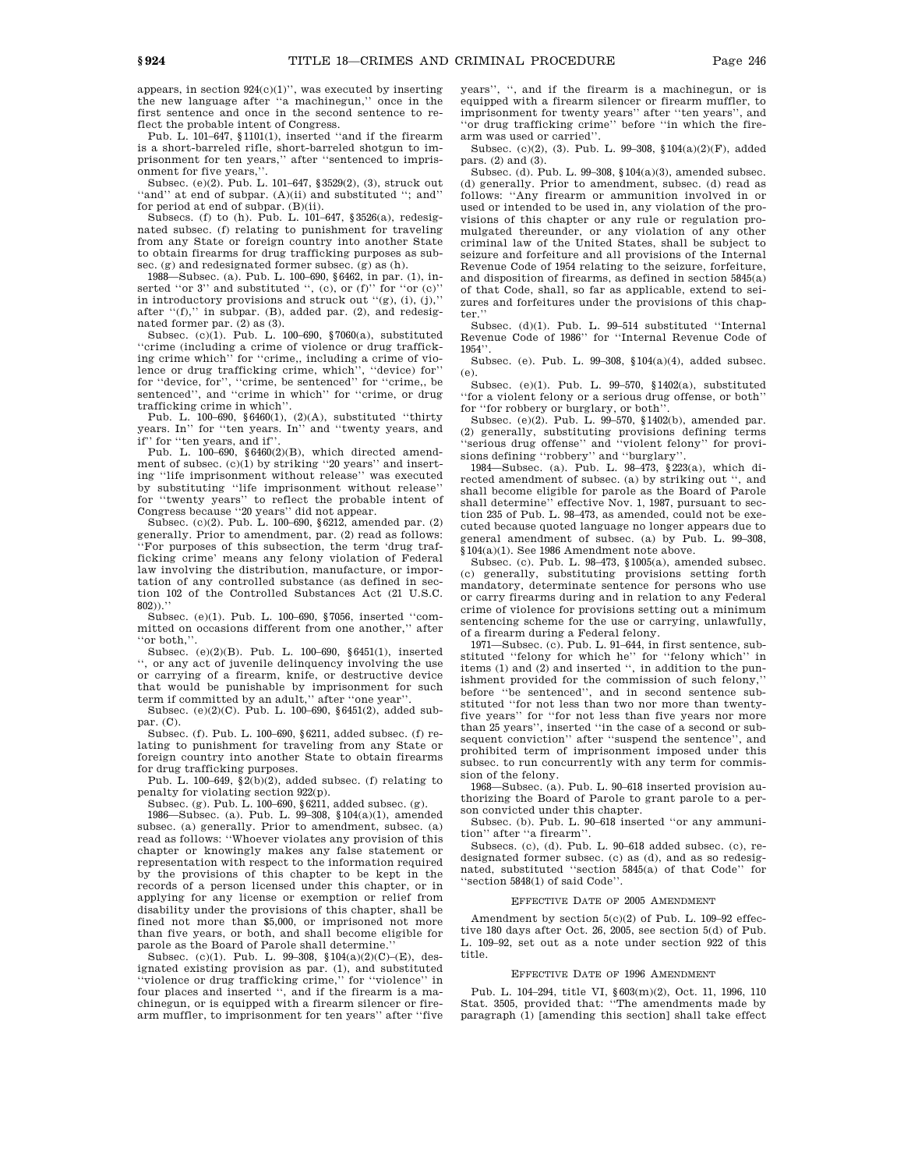appears, in section  $924(c)(1)$ ", was executed by inserting the new language after ''a machinegun,'' once in the first sentence and once in the second sentence to reflect the probable intent of Congress.

Pub. L. 101–647, §1101(1), inserted ''and if the firearm is a short-barreled rifle, short-barreled shotgun to imprisonment for ten years,'' after ''sentenced to imprisonment for five years,''.

Subsec. (e)(2). Pub. L. 101–647, §3529(2), (3), struck out ''and'' at end of subpar. (A)(ii) and substituted ''; and'' for period at end of subpar. (B)(ii).

Subsecs. (f) to (h). Pub. L. 101–647, §3526(a), redesignated subsec. (f) relating to punishment for traveling from any State or foreign country into another State to obtain firearms for drug trafficking purposes as subsec. (g) and redesignated former subsec. (g) as (h).

1988—Subsec. (a). Pub. L. 100–690, §6462, in par. (1), inserted "or 3" and substituted ", (c), or (f)" for "or (c)" in introductory provisions and struck out " $(g)$ ,  $(i)$ ,  $(j)$ ," after  $'(f)$ ," in subpar. (B), added par. (2), and redesignated former par. (2) as (3).

Subsec. (c)(1). Pub. L. 100–690, §7060(a), substituted ''crime (including a crime of violence or drug trafficking crime which'' for ''crime,, including a crime of violence or drug trafficking crime, which'', ''device) for'' for ''device, for'', ''crime, be sentenced'' for ''crime,, be sentenced'', and ''crime in which'' for ''crime, or drug trafficking crime in which''.

Pub. L. 100–690, §6460(1), (2)(A), substituted ''thirty years. In'' for ''ten years. In'' and ''twenty years, and if'' for ''ten years, and if''.

Pub. L. 100-690, §6460(2)(B), which directed amendment of subsec.  $(c)(1)$  by striking "20 years" and inserting ''life imprisonment without release'' was executed by substituting ''life imprisonment without release'' for ''twenty years'' to reflect the probable intent of Congress because ''20 years'' did not appear.

Subsec. (c)(2). Pub. L. 100–690, §6212, amended par. (2) generally. Prior to amendment, par. (2) read as follows: ''For purposes of this subsection, the term 'drug trafficking crime' means any felony violation of Federal law involving the distribution, manufacture, or importation of any controlled substance (as defined in section 102 of the Controlled Substances Act (21 U.S.C. 802)).''

Subsec. (e)(1). Pub. L. 100–690, §7056, inserted ''committed on occasions different from one another,'' after ''or both,''.

Subsec. (e)(2)(B). Pub. L. 100–690, §6451(1), inserted '', or any act of juvenile delinquency involving the use or carrying of a firearm, knife, or destructive device that would be punishable by imprisonment for such term if committed by an adult,'' after ''one year''.

Subsec. (e)(2)(C). Pub. L. 100–690, §6451(2), added subpar. (C).

Subsec. (f). Pub. L. 100–690, §6211, added subsec. (f) relating to punishment for traveling from any State or foreign country into another State to obtain firearms for drug trafficking purposes.

Pub. L. 100–649,  $\overline{$2({b})({2})}$ , added subsec. (f) relating to penalty for violating section 922(p).

Subsec. (g). Pub. L. 100–690, §6211, added subsec. (g).

1986—Subsec. (a). Pub. L. 99–308, §104(a)(1), amended subsec. (a) generally. Prior to amendment, subsec. (a) read as follows: ''Whoever violates any provision of this chapter or knowingly makes any false statement or representation with respect to the information required by the provisions of this chapter to be kept in the records of a person licensed under this chapter, or in applying for any license or exemption or relief from disability under the provisions of this chapter, shall be fined not more than \$5,000, or imprisoned not more than five years, or both, and shall become eligible for parole as the Board of Parole shall determine.

Subsec. (c)(1). Pub. L. 99–308, §104(a)(2)(C)–(E), designated existing provision as par. (1), and substituted ''violence or drug trafficking crime,'' for ''violence'' in four places and inserted '', and if the firearm is a machinegun, or is equipped with a firearm silencer or firearm muffler, to imprisonment for ten years'' after ''five years'', '', and if the firearm is a machinegun, or is equipped with a firearm silencer or firearm muffler, to imprisonment for twenty years'' after ''ten years'', and 'or drug trafficking crime'' before "in which the firearm was used or carried''.

Subsec. (c)(2), (3). Pub. L. 99–308, §104(a)(2)(F), added pars. (2) and (3).

Subsec. (d). Pub. L. 99–308, §104(a)(3), amended subsec. (d) generally. Prior to amendment, subsec. (d) read as follows: ''Any firearm or ammunition involved in or used or intended to be used in, any violation of the provisions of this chapter or any rule or regulation promulgated thereunder, or any violation of any other criminal law of the United States, shall be subject to seizure and forfeiture and all provisions of the Internal Revenue Code of 1954 relating to the seizure, forfeiture, and disposition of firearms, as defined in section 5845(a) of that Code, shall, so far as applicable, extend to seizures and forfeitures under the provisions of this chapter.''

Subsec. (d)(1). Pub. L. 99–514 substituted ''Internal Revenue Code of 1986'' for ''Internal Revenue Code of 1954''.

Subsec. (e). Pub. L. 99–308, §104(a)(4), added subsec. (e).

Subsec. (e)(1). Pub. L. 99–570, §1402(a), substituted ''for a violent felony or a serious drug offense, or both'' for "for robbery or burglary, or both"

Subsec. (e)(2). Pub. L. 99–570, §1402(b), amended par. (2) generally, substituting provisions defining terms ''serious drug offense'' and ''violent felony'' for provisions defining ''robbery'' and ''burglary''.

1984—Subsec. (a). Pub. L. 98–473, §223(a), which directed amendment of subsec. (a) by striking out '', and shall become eligible for parole as the Board of Parole shall determine'' effective Nov. 1, 1987, pursuant to section 235 of Pub. L. 98–473, as amended, could not be executed because quoted language no longer appears due to general amendment of subsec. (a) by Pub. L. 99–308, §104(a)(1). See 1986 Amendment note above.

Subsec. (c). Pub. L. 98–473, §1005(a), amended subsec. (c) generally, substituting provisions setting forth mandatory, determinate sentence for persons who use or carry firearms during and in relation to any Federal crime of violence for provisions setting out a minimum sentencing scheme for the use or carrying, unlawfully, of a firearm during a Federal felony.

1971—Subsec. (c). Pub. L. 91–644, in first sentence, substituted ''felony for which he'' for ''felony which'' in items (1) and (2) and inserted '', in addition to the punishment provided for the commission of such felony,'' before ''be sentenced'', and in second sentence substituted ''for not less than two nor more than twentyfive years'' for ''for not less than five years nor more than 25 years'', inserted ''in the case of a second or subsequent conviction'' after ''suspend the sentence'', and prohibited term of imprisonment imposed under this subsec. to run concurrently with any term for commission of the felony.

1968—Subsec. (a). Pub. L. 90–618 inserted provision authorizing the Board of Parole to grant parole to a person convicted under this chapter.

Subsec. (b). Pub. L. 90–618 inserted ''or any ammunition'' after ''a firearm''.

Subsecs. (c), (d). Pub. L. 90–618 added subsec. (c), redesignated former subsec. (c) as (d), and as so redesignated, substituted ''section 5845(a) of that Code'' for ''section 5848(1) of said Code''.

## EFFECTIVE DATE OF 2005 AMENDMENT

Amendment by section 5(c)(2) of Pub. L. 109–92 effective 180 days after Oct. 26, 2005, see section 5(d) of Pub. L. 109–92, set out as a note under section 922 of this title.

#### EFFECTIVE DATE OF 1996 AMENDMENT

Pub. L. 104–294, title VI, §603(m)(2), Oct. 11, 1996, 110 Stat. 3505, provided that: ''The amendments made by paragraph (1) [amending this section] shall take effect